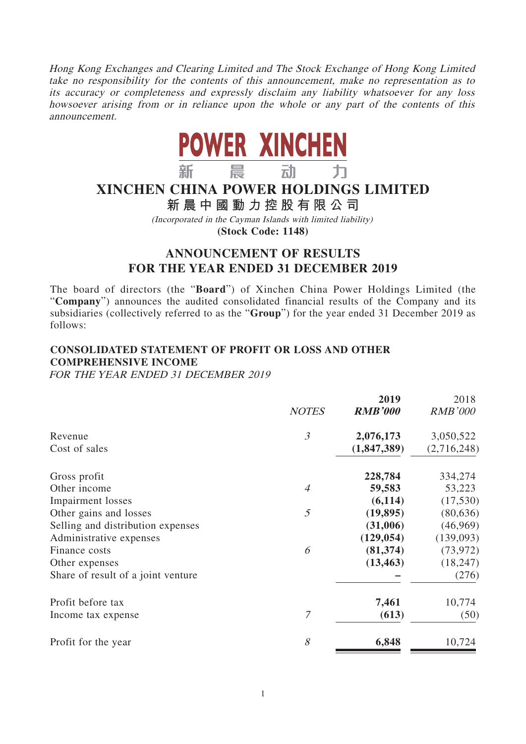Hong Kong Exchanges and Clearing Limited and The Stock Exchange of Hong Kong Limited take no responsibility for the contents of this announcement, make no representation as to its accuracy or completeness and expressly disclaim any liability whatsoever for any loss howsoever arising from or in reliance upon the whole or any part of the contents of this announcement.



# **XINCHEN CHINA POWER HOLDINGS LIMITED**

**新晨中國動力控股有限公司**

(Incorporated in the Cayman Islands with limited liability) **(Stock Code: 1148)**

# **ANNOUNCEMENT OF RESULTS FOR THE YEAR ENDED 31 DECEMBER 2019**

The board of directors (the "**Board**") of Xinchen China Power Holdings Limited (the "**Company**") announces the audited consolidated financial results of the Company and its subsidiaries (collectively referred to as the "**Group**") for the year ended 31 December 2019 as follows:

# **CONSOLIDATED STATEMENT OF PROFIT OR LOSS AND OTHER COMPREHENSIVE INCOME**

FOR THE YEAR ENDED 31 DECEMBER 2019

|                                    | <b>NOTES</b>   | 2019<br><b>RMB'000</b> | 2018<br><b>RMB'000</b> |
|------------------------------------|----------------|------------------------|------------------------|
| Revenue                            | $\mathfrak{Z}$ | 2,076,173              | 3,050,522              |
| Cost of sales                      |                | (1,847,389)            | (2,716,248)            |
| Gross profit                       |                | 228,784                | 334,274                |
| Other income                       | $\overline{A}$ | 59,583                 | 53,223                 |
| <b>Impairment</b> losses           |                | (6,114)                | (17,530)               |
| Other gains and losses             | $\mathfrak{I}$ | (19, 895)              | (80, 636)              |
| Selling and distribution expenses  |                | (31,006)               | (46,969)               |
| Administrative expenses            |                | (129, 054)             | (139,093)              |
| Finance costs                      | 6              | (81, 374)              | (73, 972)              |
| Other expenses                     |                | (13, 463)              | (18, 247)              |
| Share of result of a joint venture |                |                        | (276)                  |
| Profit before tax                  |                | 7,461                  | 10,774                 |
| Income tax expense                 | 7              | (613)                  | (50)                   |
| Profit for the year                | 8              | 6,848                  | 10,724                 |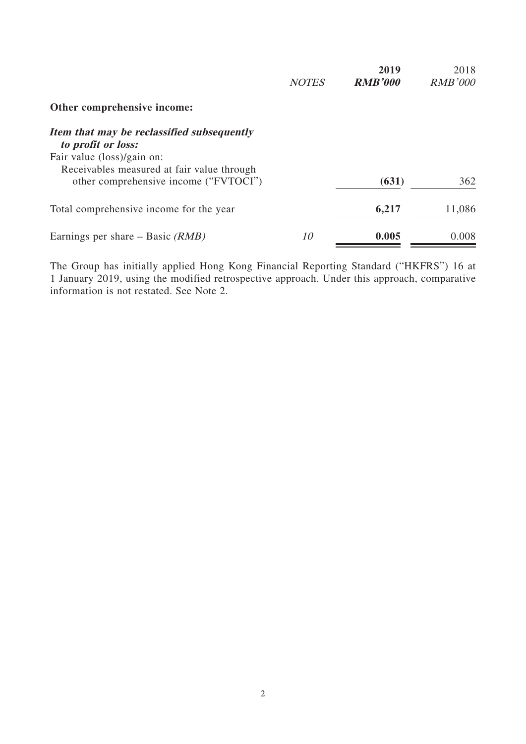|                                                                  | <b>NOTES</b> | 2019<br><b>RMB'000</b> | 2018<br><b>RMB'000</b> |
|------------------------------------------------------------------|--------------|------------------------|------------------------|
| Other comprehensive income:                                      |              |                        |                        |
| Item that may be reclassified subsequently<br>to profit or loss: |              |                        |                        |
| Fair value (loss)/gain on:                                       |              |                        |                        |
| Receivables measured at fair value through                       |              |                        |                        |
| other comprehensive income ("FVTOCI")                            |              | (631)                  | 362                    |
| Total comprehensive income for the year                          |              | 6,217                  | 11,086                 |
| Earnings per share – Basic $(RMB)$                               | 10           | 0.005                  | 0.008                  |

The Group has initially applied Hong Kong Financial Reporting Standard ("HKFRS") 16 at 1 January 2019, using the modified retrospective approach. Under this approach, comparative information is not restated. See Note 2.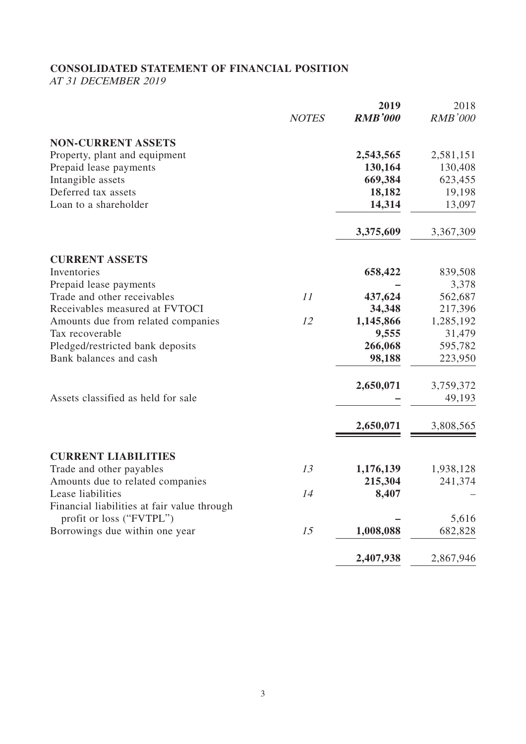# **CONSOLIDATED STATEMENT OF FINANCIAL POSITION**

AT 31 DECEMBER 2019

|                                             |              | 2019           | 2018           |
|---------------------------------------------|--------------|----------------|----------------|
|                                             | <b>NOTES</b> | <b>RMB'000</b> | <b>RMB'000</b> |
| <b>NON-CURRENT ASSETS</b>                   |              |                |                |
| Property, plant and equipment               |              | 2,543,565      | 2,581,151      |
| Prepaid lease payments                      |              | 130,164        | 130,408        |
| Intangible assets                           |              | 669,384        | 623,455        |
| Deferred tax assets                         |              | 18,182         | 19,198         |
| Loan to a shareholder                       |              | 14,314         | 13,097         |
|                                             |              | 3,375,609      | 3,367,309      |
| <b>CURRENT ASSETS</b>                       |              |                |                |
| Inventories                                 |              | 658,422        | 839,508        |
| Prepaid lease payments                      |              |                | 3,378          |
| Trade and other receivables                 | 11           | 437,624        | 562,687        |
| Receivables measured at FVTOCI              |              | 34,348         | 217,396        |
| Amounts due from related companies          | 12           | 1,145,866      | 1,285,192      |
| Tax recoverable                             |              | 9,555          | 31,479         |
| Pledged/restricted bank deposits            |              | 266,068        | 595,782        |
| Bank balances and cash                      |              | 98,188         | 223,950        |
|                                             |              | 2,650,071      | 3,759,372      |
| Assets classified as held for sale          |              |                | 49,193         |
|                                             |              | 2,650,071      | 3,808,565      |
| <b>CURRENT LIABILITIES</b>                  |              |                |                |
| Trade and other payables                    | 13           | 1,176,139      | 1,938,128      |
| Amounts due to related companies            |              | 215,304        | 241,374        |
| Lease liabilities                           | 14           | 8,407          |                |
| Financial liabilities at fair value through |              |                |                |
| profit or loss ("FVTPL")                    |              |                | 5,616          |
| Borrowings due within one year              | 15           | 1,008,088      | 682,828        |
|                                             |              | 2,407,938      | 2,867,946      |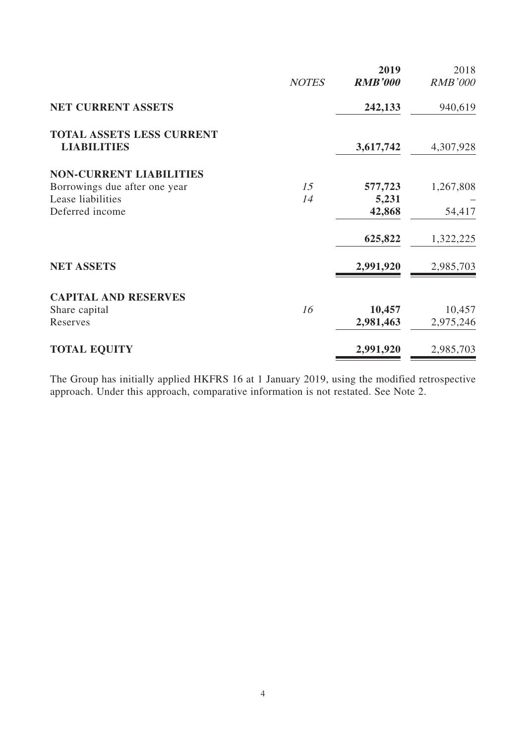|                                                        |              | 2019           | 2018           |
|--------------------------------------------------------|--------------|----------------|----------------|
|                                                        | <b>NOTES</b> | <b>RMB'000</b> | <b>RMB'000</b> |
| <b>NET CURRENT ASSETS</b>                              |              | 242,133        | 940,619        |
| <b>TOTAL ASSETS LESS CURRENT</b><br><b>LIABILITIES</b> |              | 3,617,742      | 4,307,928      |
| <b>NON-CURRENT LIABILITIES</b>                         |              |                |                |
| Borrowings due after one year                          | 15           | 577,723        | 1,267,808      |
| Lease liabilities                                      | 14           | 5,231          |                |
| Deferred income                                        |              | 42,868         | 54,417         |
|                                                        |              | 625,822        | 1,322,225      |
| <b>NET ASSETS</b>                                      |              | 2,991,920      | 2,985,703      |
| <b>CAPITAL AND RESERVES</b>                            |              |                |                |
| Share capital                                          | 16           | 10,457         | 10,457         |
| Reserves                                               |              | 2,981,463      | 2,975,246      |
| <b>TOTAL EQUITY</b>                                    |              | 2,991,920      | 2,985,703      |

The Group has initially applied HKFRS 16 at 1 January 2019, using the modified retrospective approach. Under this approach, comparative information is not restated. See Note 2.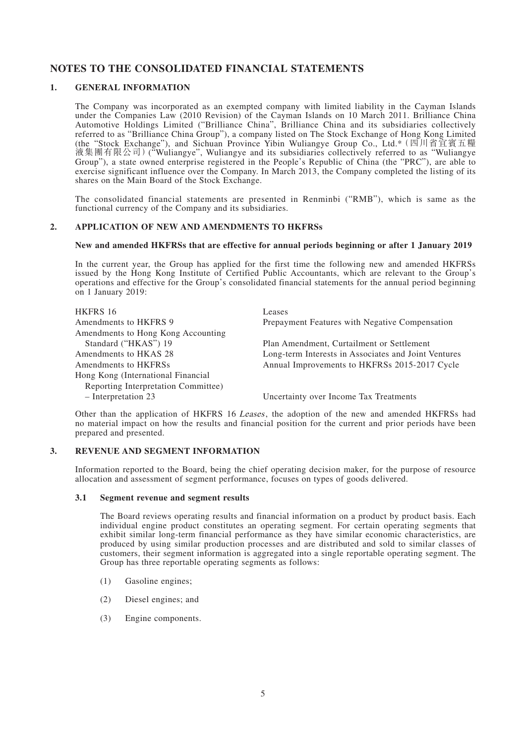# **NOTES TO THE CONSOLIDATED FINANCIAL STATEMENTS**

### **1. GENERAL INFORMATION**

The Company was incorporated as an exempted company with limited liability in the Cayman Islands under the Companies Law (2010 Revision) of the Cayman Islands on 10 March 2011. Brilliance China Automotive Holdings Limited ("Brilliance China", Brilliance China and its subsidiaries collectively referred to as "Brilliance China Group"), a company listed on The Stock Exchange of Hong Kong Limited (the "Stock Exchange"), and Sichuan Province Yibin Wuliangye Group Co., Ltd.\*(四川省宜賓五糧 液集團有限公司)("Wuliangye", Wuliangye and its subsidiaries collectively referred to as "Wuliangye Group"), a state owned enterprise registered in the People's Republic of China (the "PRC"), are able to exercise significant influence over the Company. In March 2013, the Company completed the listing of its shares on the Main Board of the Stock Exchange.

The consolidated financial statements are presented in Renminbi ("RMB"), which is same as the functional currency of the Company and its subsidiaries.

### **2. APPLICATION OF NEW AND AMENDMENTS TO HKFRSs**

#### **New and amended HKFRSs that are effective for annual periods beginning or after 1 January 2019**

In the current year, the Group has applied for the first time the following new and amended HKFRSs issued by the Hong Kong Institute of Certified Public Accountants, which are relevant to the Group's operations and effective for the Group's consolidated financial statements for the annual period beginning on 1 January 2019:

| <b>HKFRS 16</b>                     | Leases                                               |
|-------------------------------------|------------------------------------------------------|
| Amendments to HKFRS 9               | Prepayment Features with Negative Compensation       |
| Amendments to Hong Kong Accounting  |                                                      |
| Standard ("HKAS") 19                | Plan Amendment, Curtailment or Settlement            |
| Amendments to HKAS 28               | Long-term Interests in Associates and Joint Ventures |
| Amendments to HKFRSs                | Annual Improvements to HKFRSs 2015-2017 Cycle        |
| Hong Kong (International Financial  |                                                      |
| Reporting Interpretation Committee) |                                                      |
| $-$ Interpretation 23               | Uncertainty over Income Tax Treatments               |

Other than the application of HKFRS 16 Leases, the adoption of the new and amended HKFRSs had no material impact on how the results and financial position for the current and prior periods have been prepared and presented.

#### **3. REVENUE AND SEGMENT INFORMATION**

Information reported to the Board, being the chief operating decision maker, for the purpose of resource allocation and assessment of segment performance, focuses on types of goods delivered.

#### **3.1 Segment revenue and segment results**

The Board reviews operating results and financial information on a product by product basis. Each individual engine product constitutes an operating segment. For certain operating segments that exhibit similar long-term financial performance as they have similar economic characteristics, are produced by using similar production processes and are distributed and sold to similar classes of customers, their segment information is aggregated into a single reportable operating segment. The Group has three reportable operating segments as follows:

- (1) Gasoline engines;
- (2) Diesel engines; and
- (3) Engine components.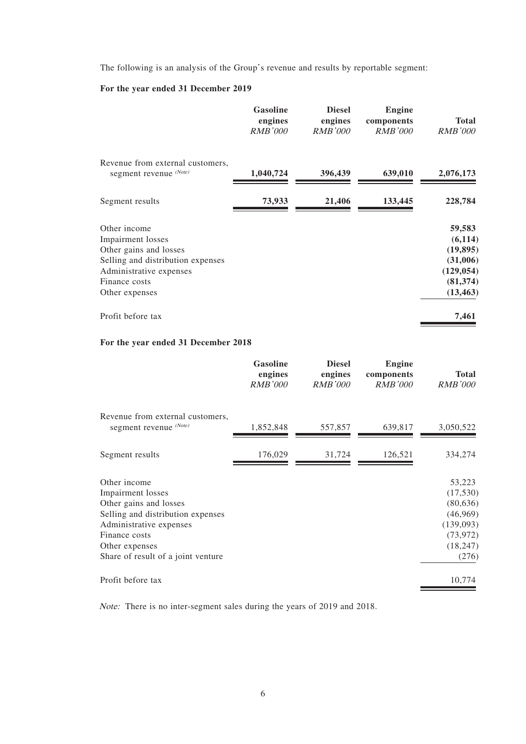The following is an analysis of the Group's revenue and results by reportable segment:

### **For the year ended 31 December 2019**

|                                                                                                                                                                | <b>Gasoline</b><br>engines<br><i>RMB'000</i> | <b>Diesel</b><br>engines<br><i>RMB'000</i> | <b>Engine</b><br>components<br><i>RMB'000</i> | <b>Total</b><br><i>RMB'000</i>                                                      |
|----------------------------------------------------------------------------------------------------------------------------------------------------------------|----------------------------------------------|--------------------------------------------|-----------------------------------------------|-------------------------------------------------------------------------------------|
| Revenue from external customers,<br>segment revenue (Note)                                                                                                     | 1,040,724                                    | 396,439                                    | 639,010                                       | 2,076,173                                                                           |
| Segment results                                                                                                                                                | 73,933                                       | 21,406                                     | 133,445                                       | 228,784                                                                             |
| Other income<br>Impairment losses<br>Other gains and losses<br>Selling and distribution expenses<br>Administrative expenses<br>Finance costs<br>Other expenses |                                              |                                            |                                               | 59,583<br>(6, 114)<br>(19, 895)<br>(31,006)<br>(129, 054)<br>(81, 374)<br>(13, 463) |
| Profit before tax                                                                                                                                              |                                              |                                            |                                               | 7,461                                                                               |

### **For the year ended 31 December 2018**

|                                                                                                                                                                                                      | <b>Gasoline</b><br>engines<br><b>RMB'000</b> | <b>Diesel</b><br>engines<br><b>RMB'000</b> | <b>Engine</b><br>components<br><i>RMB'000</i> | <b>Total</b><br><b>RMB'000</b>                                                              |
|------------------------------------------------------------------------------------------------------------------------------------------------------------------------------------------------------|----------------------------------------------|--------------------------------------------|-----------------------------------------------|---------------------------------------------------------------------------------------------|
| Revenue from external customers,<br>segment revenue (Note)                                                                                                                                           | 1,852,848                                    | 557,857                                    | 639,817                                       | 3,050,522                                                                                   |
| Segment results                                                                                                                                                                                      | 176,029                                      | 31,724                                     | 126,521                                       | 334,274                                                                                     |
| Other income<br>Impairment losses<br>Other gains and losses<br>Selling and distribution expenses<br>Administrative expenses<br>Finance costs<br>Other expenses<br>Share of result of a joint venture |                                              |                                            |                                               | 53,223<br>(17,530)<br>(80, 636)<br>(46,969)<br>(139,093)<br>(73, 972)<br>(18, 247)<br>(276) |
| Profit before tax                                                                                                                                                                                    |                                              |                                            |                                               | 10,774                                                                                      |

Note: There is no inter-segment sales during the years of 2019 and 2018.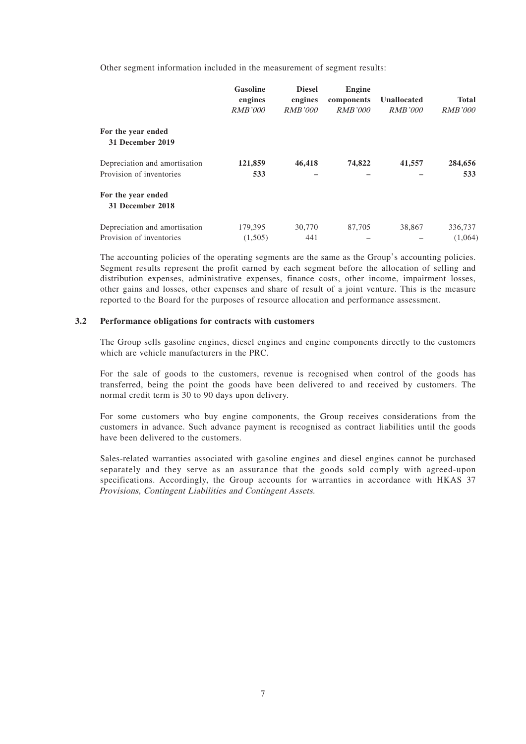Other segment information included in the measurement of segment results:

|                                                           | <b>Gasoline</b><br>engines<br><i>RMB'000</i> | <b>Diesel</b><br>engines<br><i>RMB'000</i> | Engine<br>components<br><i>RMB'000</i> | Unallocated<br><b>RMB'000</b> | <b>Total</b><br><i>RMB'000</i> |
|-----------------------------------------------------------|----------------------------------------------|--------------------------------------------|----------------------------------------|-------------------------------|--------------------------------|
| For the year ended<br>31 December 2019                    |                                              |                                            |                                        |                               |                                |
| Depreciation and amortisation<br>Provision of inventories | 121,859<br>533                               | 46,418                                     | 74,822                                 | 41,557                        | 284,656<br>533                 |
| For the year ended<br>31 December 2018                    |                                              |                                            |                                        |                               |                                |
| Depreciation and amortisation<br>Provision of inventories | 179,395<br>(1,505)                           | 30,770<br>441                              | 87,705                                 | 38,867                        | 336,737<br>(1,064)             |

The accounting policies of the operating segments are the same as the Group's accounting policies. Segment results represent the profit earned by each segment before the allocation of selling and distribution expenses, administrative expenses, finance costs, other income, impairment losses, other gains and losses, other expenses and share of result of a joint venture. This is the measure reported to the Board for the purposes of resource allocation and performance assessment.

#### **3.2 Performance obligations for contracts with customers**

The Group sells gasoline engines, diesel engines and engine components directly to the customers which are vehicle manufacturers in the PRC.

For the sale of goods to the customers, revenue is recognised when control of the goods has transferred, being the point the goods have been delivered to and received by customers. The normal credit term is 30 to 90 days upon delivery.

For some customers who buy engine components, the Group receives considerations from the customers in advance. Such advance payment is recognised as contract liabilities until the goods have been delivered to the customers.

Sales-related warranties associated with gasoline engines and diesel engines cannot be purchased separately and they serve as an assurance that the goods sold comply with agreed-upon specifications. Accordingly, the Group accounts for warranties in accordance with HKAS 37 Provisions, Contingent Liabilities and Contingent Assets.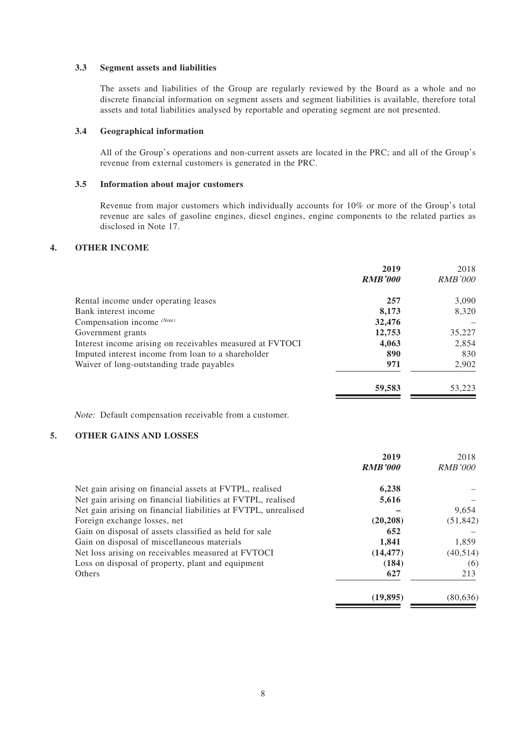#### **3.3 Segment assets and liabilities**

The assets and liabilities of the Group are regularly reviewed by the Board as a whole and no discrete financial information on segment assets and segment liabilities is available, therefore total assets and total liabilities analysed by reportable and operating segment are not presented.

### **3.4 Geographical information**

All of the Group's operations and non-current assets are located in the PRC; and all of the Group's revenue from external customers is generated in the PRC.

#### **3.5 Information about major customers**

Revenue from major customers which individually accounts for 10% or more of the Group's total revenue are sales of gasoline engines, diesel engines, engine components to the related parties as disclosed in Note 17.

### **4. OTHER INCOME**

|                                                           | 2019<br><b>RMB'000</b> | 2018<br><b>RMB'000</b> |
|-----------------------------------------------------------|------------------------|------------------------|
| Rental income under operating leases                      | 257                    | 3,090                  |
| Bank interest income                                      | 8,173                  | 8,320                  |
| Compensation income (Note)                                | 32,476                 |                        |
| Government grants                                         | 12,753                 | 35,227                 |
| Interest income arising on receivables measured at FVTOCI | 4,063                  | 2,854                  |
| Imputed interest income from loan to a shareholder        | 890                    | 830                    |
| Waiver of long-outstanding trade payables                 | 971                    | 2,902                  |
|                                                           | 59,583                 | 53,223                 |

Note: Default compensation receivable from a customer.

### **5. OTHER GAINS AND LOSSES**

|                                                                | 2019           | 2018           |
|----------------------------------------------------------------|----------------|----------------|
|                                                                | <b>RMB'000</b> | <b>RMB'000</b> |
| Net gain arising on financial assets at FVTPL, realised        | 6,238          |                |
| Net gain arising on financial liabilities at FVTPL, realised   | 5,616          |                |
| Net gain arising on financial liabilities at FVTPL, unrealised |                | 9,654          |
| Foreign exchange losses, net                                   | (20, 208)      | (51, 842)      |
| Gain on disposal of assets classified as held for sale         | 652            |                |
| Gain on disposal of miscellaneous materials                    | 1.841          | 1.859          |
| Net loss arising on receivables measured at FVTOCI             | (14, 477)      | (40, 514)      |
| Loss on disposal of property, plant and equipment              | (184)          | (6)            |
| Others                                                         | 627            | 213            |
|                                                                | (19, 895)      | (80, 636)      |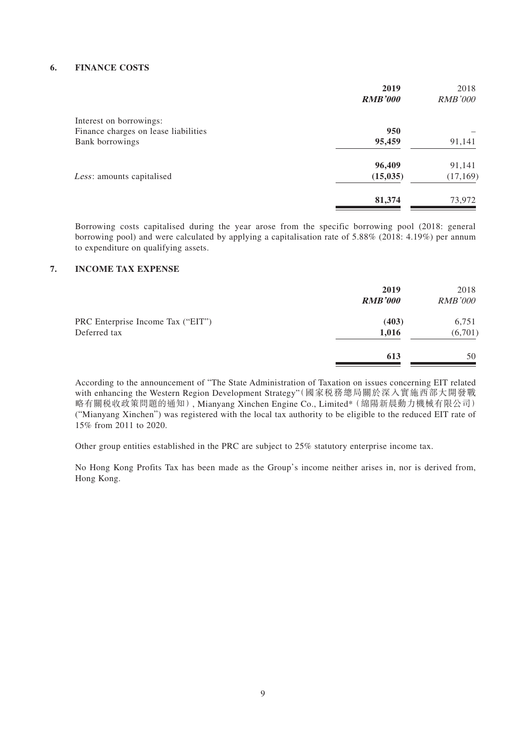### **6. FINANCE COSTS**

|                                      | 2019           | 2018           |
|--------------------------------------|----------------|----------------|
|                                      | <b>RMB'000</b> | <b>RMB'000</b> |
| Interest on borrowings:              |                |                |
| Finance charges on lease liabilities | 950            |                |
| Bank borrowings                      | 95,459         | 91,141         |
|                                      | 96,409         | 91,141         |
| Less: amounts capitalised            | (15, 035)      | (17, 169)      |
|                                      | 81,374         | 73,972         |
|                                      |                |                |

Borrowing costs capitalised during the year arose from the specific borrowing pool (2018: general borrowing pool) and were calculated by applying a capitalisation rate of 5.88% (2018: 4.19%) per annum to expenditure on qualifying assets.

### **7. INCOME TAX EXPENSE**

|                                                   | 2019<br><b>RMB'000</b> | 2018<br><b>RMB'000</b> |
|---------------------------------------------------|------------------------|------------------------|
| PRC Enterprise Income Tax ("EIT")<br>Deferred tax | (403)<br>1,016         | 6,751<br>(6,701)       |
|                                                   | 613                    | 50                     |

According to the announcement of "The State Administration of Taxation on issues concerning EIT related with enhancing the Western Region Development Strategy"(國家税務總局關於深入實施西部大開發戰 略有關稅收政策問題的通知), Mianyang Xinchen Engine Co., Limited\*(綿陽新晨動力機械有限公司) ("Mianyang Xinchen") was registered with the local tax authority to be eligible to the reduced EIT rate of 15% from 2011 to 2020.

Other group entities established in the PRC are subject to 25% statutory enterprise income tax.

No Hong Kong Profits Tax has been made as the Group's income neither arises in, nor is derived from, Hong Kong.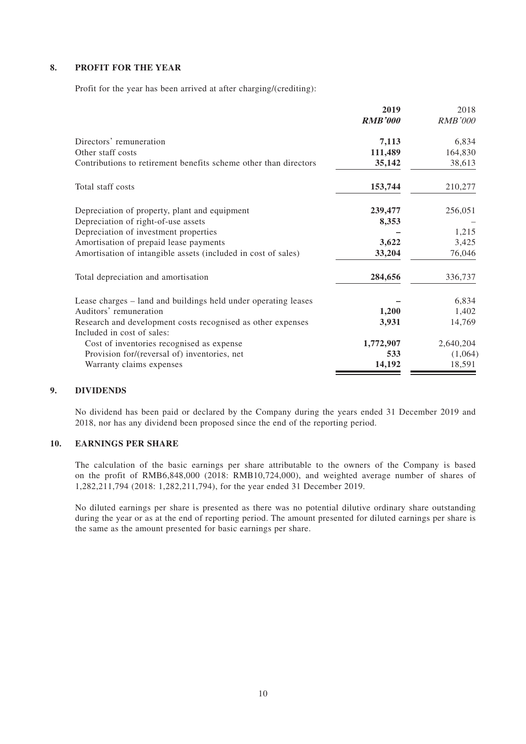### **8. PROFIT FOR THE YEAR**

Profit for the year has been arrived at after charging/(crediting):

|                                                                  | 2019           | 2018           |
|------------------------------------------------------------------|----------------|----------------|
|                                                                  | <b>RMB'000</b> | <b>RMB'000</b> |
| Directors' remuneration                                          | 7,113          | 6,834          |
| Other staff costs                                                | 111,489        | 164,830        |
| Contributions to retirement benefits scheme other than directors | 35,142         | 38,613         |
| Total staff costs                                                | 153,744        | 210,277        |
| Depreciation of property, plant and equipment                    | 239,477        | 256,051        |
| Depreciation of right-of-use assets                              | 8,353          |                |
| Depreciation of investment properties                            |                | 1,215          |
| Amortisation of prepaid lease payments                           | 3,622          | 3,425          |
| Amortisation of intangible assets (included in cost of sales)    | 33,204         | 76,046         |
| Total depreciation and amortisation                              | 284,656        | 336,737        |
| Lease charges – land and buildings held under operating leases   |                | 6,834          |
| Auditors' remuneration                                           | 1,200          | 1,402          |
| Research and development costs recognised as other expenses      | 3,931          | 14,769         |
| Included in cost of sales:                                       |                |                |
| Cost of inventories recognised as expense                        | 1,772,907      | 2,640,204      |
| Provision for/(reversal of) inventories, net                     | 533            | (1,064)        |
| Warranty claims expenses                                         | 14,192         | 18,591         |

### **9. DIVIDENDS**

No dividend has been paid or declared by the Company during the years ended 31 December 2019 and 2018, nor has any dividend been proposed since the end of the reporting period.

### **10. EARNINGS PER SHARE**

The calculation of the basic earnings per share attributable to the owners of the Company is based on the profit of RMB6,848,000 (2018: RMB10,724,000), and weighted average number of shares of 1,282,211,794 (2018: 1,282,211,794), for the year ended 31 December 2019.

No diluted earnings per share is presented as there was no potential dilutive ordinary share outstanding during the year or as at the end of reporting period. The amount presented for diluted earnings per share is the same as the amount presented for basic earnings per share.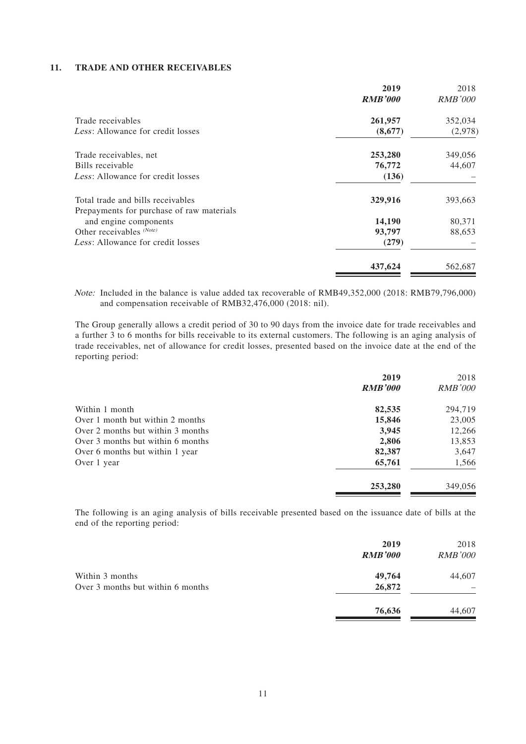#### **11. TRADE AND OTHER RECEIVABLES**

|                                           | 2019<br><b>RMB'000</b> | 2018<br><b>RMB'000</b> |
|-------------------------------------------|------------------------|------------------------|
| Trade receivables                         | 261,957                | 352,034                |
| <i>Less:</i> Allowance for credit losses  | (8,677)                | (2,978)                |
| Trade receivables, net                    | 253,280                | 349,056                |
| Bills receivable                          | 76,772                 | 44,607                 |
| Less: Allowance for credit losses         | (136)                  |                        |
| Total trade and bills receivables         | 329,916                | 393,663                |
| Prepayments for purchase of raw materials |                        |                        |
| and engine components                     | 14,190                 | 80,371                 |
| Other receivables (Note)                  | 93,797                 | 88,653                 |
| Less: Allowance for credit losses         | (279)                  |                        |
|                                           | 437,624                | 562,687                |

Note: Included in the balance is value added tax recoverable of RMB49,352,000 (2018: RMB79,796,000) and compensation receivable of RMB32,476,000 (2018: nil).

The Group generally allows a credit period of 30 to 90 days from the invoice date for trade receivables and a further 3 to 6 months for bills receivable to its external customers. The following is an aging analysis of trade receivables, net of allowance for credit losses, presented based on the invoice date at the end of the reporting period:

|                                   | 2019           | 2018           |
|-----------------------------------|----------------|----------------|
|                                   | <b>RMB'000</b> | <i>RMB'000</i> |
| Within 1 month                    | 82,535         | 294,719        |
| Over 1 month but within 2 months  | 15,846         | 23,005         |
| Over 2 months but within 3 months | 3,945          | 12,266         |
| Over 3 months but within 6 months | 2,806          | 13,853         |
| Over 6 months but within 1 year   | 82,387         | 3,647          |
| Over 1 year                       | 65,761         | 1,566          |
|                                   | 253,280        | 349,056        |

The following is an aging analysis of bills receivable presented based on the issuance date of bills at the end of the reporting period:

|                                                      | 2019<br><b>RMB'000</b> | 2018<br><b>RMB'000</b> |
|------------------------------------------------------|------------------------|------------------------|
| Within 3 months<br>Over 3 months but within 6 months | 49,764<br>26,872       | 44,607                 |
|                                                      | 76,636                 | 44,607                 |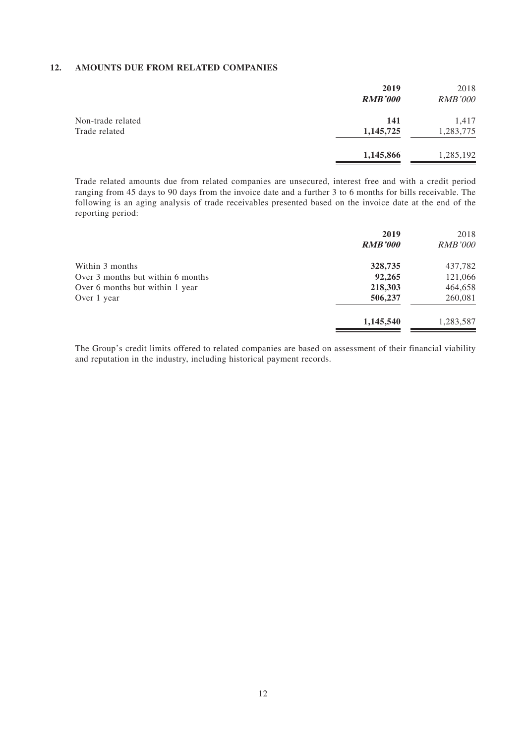#### **12. AMOUNTS DUE FROM RELATED COMPANIES**

|                                    | 2019<br><b>RMB'000</b>  | 2018<br><b>RMB'000</b> |
|------------------------------------|-------------------------|------------------------|
| Non-trade related<br>Trade related | <b>141</b><br>1,145,725 | 1,417<br>1,283,775     |
|                                    | 1,145,866               | 1,285,192              |

Trade related amounts due from related companies are unsecured, interest free and with a credit period ranging from 45 days to 90 days from the invoice date and a further 3 to 6 months for bills receivable. The following is an aging analysis of trade receivables presented based on the invoice date at the end of the reporting period:

|                                   | 2019           | 2018           |
|-----------------------------------|----------------|----------------|
|                                   | <b>RMB'000</b> | <b>RMB'000</b> |
| Within 3 months                   | 328,735        | 437,782        |
| Over 3 months but within 6 months | 92,265         | 121,066        |
| Over 6 months but within 1 year   | 218,303        | 464,658        |
| Over 1 year                       | 506,237        | 260,081        |
|                                   | 1,145,540      | 1,283,587      |

The Group's credit limits offered to related companies are based on assessment of their financial viability and reputation in the industry, including historical payment records.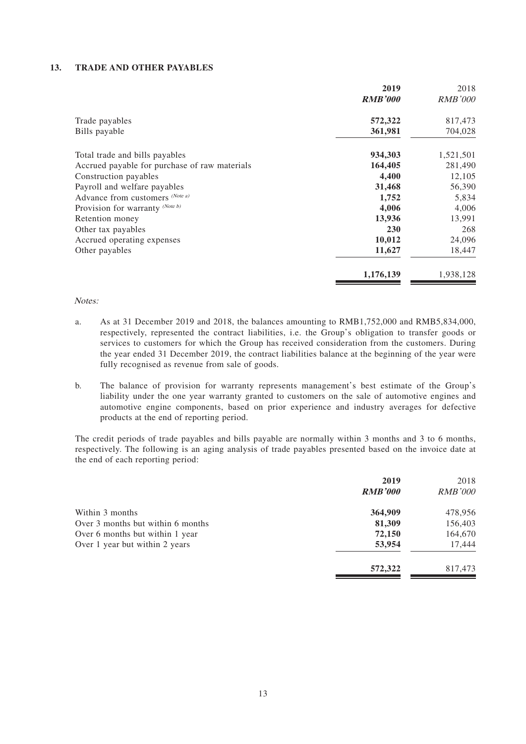#### **13. TRADE AND OTHER PAYABLES**

|                                               | 2019           | 2018           |
|-----------------------------------------------|----------------|----------------|
|                                               | <b>RMB'000</b> | <b>RMB'000</b> |
| Trade payables                                | 572,322        | 817,473        |
| Bills payable                                 | 361,981        | 704,028        |
| Total trade and bills payables                | 934,303        | 1,521,501      |
| Accrued payable for purchase of raw materials | 164,405        | 281,490        |
| Construction payables                         | 4,400          | 12,105         |
| Payroll and welfare payables                  | 31,468         | 56,390         |
| Advance from customers (Note a)               | 1,752          | 5,834          |
| Provision for warranty (Note b)               | 4,006          | 4,006          |
| Retention money                               | 13,936         | 13,991         |
| Other tax payables                            | <b>230</b>     | 268            |
| Accrued operating expenses                    | 10,012         | 24,096         |
| Other payables                                | 11,627         | 18,447         |
|                                               | 1,176,139      | 1,938,128      |

#### Notes:

- a. As at 31 December 2019 and 2018, the balances amounting to RMB1,752,000 and RMB5,834,000, respectively, represented the contract liabilities, i.e. the Group's obligation to transfer goods or services to customers for which the Group has received consideration from the customers. During the year ended 31 December 2019, the contract liabilities balance at the beginning of the year were fully recognised as revenue from sale of goods.
- b. The balance of provision for warranty represents management's best estimate of the Group's liability under the one year warranty granted to customers on the sale of automotive engines and automotive engine components, based on prior experience and industry averages for defective products at the end of reporting period.

The credit periods of trade payables and bills payable are normally within 3 months and 3 to 6 months, respectively. The following is an aging analysis of trade payables presented based on the invoice date at the end of each reporting period:

|                                   | 2019<br><b>RMB'000</b> | 2018<br><b>RMB'000</b> |
|-----------------------------------|------------------------|------------------------|
| Within 3 months                   | 364,909                | 478,956                |
| Over 3 months but within 6 months | 81,309                 | 156,403                |
| Over 6 months but within 1 year   | 72,150                 | 164,670                |
| Over 1 year but within 2 years    | 53,954                 | 17,444                 |
|                                   | 572,322                | 817,473                |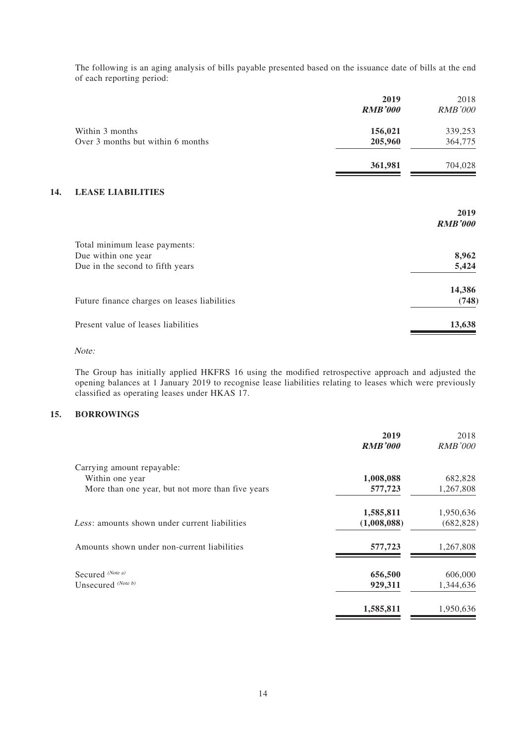The following is an aging analysis of bills payable presented based on the issuance date of bills at the end of each reporting period:

|     |                                              | 2019<br><b>RMB'000</b> | 2018<br><b>RMB'000</b> |
|-----|----------------------------------------------|------------------------|------------------------|
|     | Within 3 months                              | 156,021                | 339,253                |
|     | Over 3 months but within 6 months            | 205,960                | 364,775                |
|     |                                              | 361,981                | 704,028                |
| 14. | <b>LEASE LIABILITIES</b>                     |                        |                        |
|     |                                              |                        | 2019<br><b>RMB'000</b> |
|     | Total minimum lease payments:                |                        |                        |
|     | Due within one year                          |                        | 8,962                  |
|     | Due in the second to fifth years             |                        | 5,424                  |
|     |                                              |                        | 14,386                 |
|     | Future finance charges on leases liabilities |                        | (748)                  |
|     | Present value of leases liabilities          |                        | 13,638                 |

Note:

The Group has initially applied HKFRS 16 using the modified retrospective approach and adjusted the opening balances at 1 January 2019 to recognise lease liabilities relating to leases which were previously classified as operating leases under HKAS 17.

### **15. BORROWINGS**

|                                                      | 2019<br><b>RMB'000</b> | 2018<br><b>RMB'000</b> |
|------------------------------------------------------|------------------------|------------------------|
| Carrying amount repayable:                           |                        |                        |
| Within one year                                      | 1,008,088              | 682,828                |
| More than one year, but not more than five years     | 577,723                | 1,267,808              |
|                                                      | 1,585,811              | 1,950,636              |
| <i>Less:</i> amounts shown under current liabilities | (1,008,088)            | (682, 828)             |
| Amounts shown under non-current liabilities          | 577,723                | 1,267,808              |
| Secured (Note a)                                     | 656,500                | 606,000                |
| Unsecured $(Note b)$                                 | 929,311                | 1,344,636              |
|                                                      | 1,585,811              | 1,950,636              |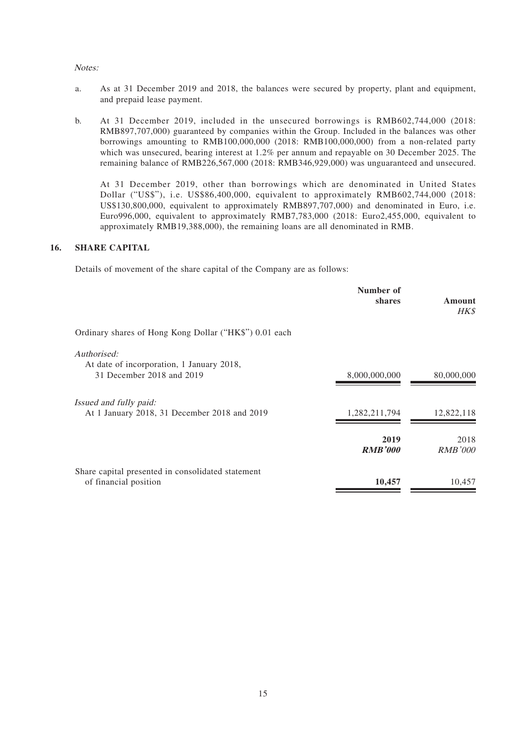#### Notes:

- a. As at 31 December 2019 and 2018, the balances were secured by property, plant and equipment, and prepaid lease payment.
- b. At 31 December 2019, included in the unsecured borrowings is RMB602,744,000 (2018: RMB897,707,000) guaranteed by companies within the Group. Included in the balances was other borrowings amounting to RMB100,000,000 (2018: RMB100,000,000) from a non-related party which was unsecured, bearing interest at 1.2% per annum and repayable on 30 December 2025. The remaining balance of RMB226,567,000 (2018: RMB346,929,000) was unguaranteed and unsecured.

At 31 December 2019, other than borrowings which are denominated in United States Dollar ("US\$"), i.e. US\$86,400,000, equivalent to approximately RMB602,744,000 (2018: US\$130,800,000, equivalent to approximately RMB897,707,000) and denominated in Euro, i.e. Euro996,000, equivalent to approximately RMB7,783,000 (2018: Euro2,455,000, equivalent to approximately RMB19,388,000), the remaining loans are all denominated in RMB.

### **16. SHARE CAPITAL**

Details of movement of the share capital of the Company are as follows:

|                                                                                       | Number of<br>shares    | Amount<br><b>HK\$</b>  |
|---------------------------------------------------------------------------------------|------------------------|------------------------|
| Ordinary shares of Hong Kong Dollar ("HK\$") 0.01 each                                |                        |                        |
| Authorised:<br>At date of incorporation, 1 January 2018,<br>31 December 2018 and 2019 | 8,000,000,000          | 80,000,000             |
| <i>Issued and fully paid:</i><br>At 1 January 2018, 31 December 2018 and 2019         | 1,282,211,794          | 12,822,118             |
|                                                                                       | 2019<br><b>RMB'000</b> | 2018<br><b>RMB'000</b> |
| Share capital presented in consolidated statement<br>of financial position            | 10,457                 | 10,457                 |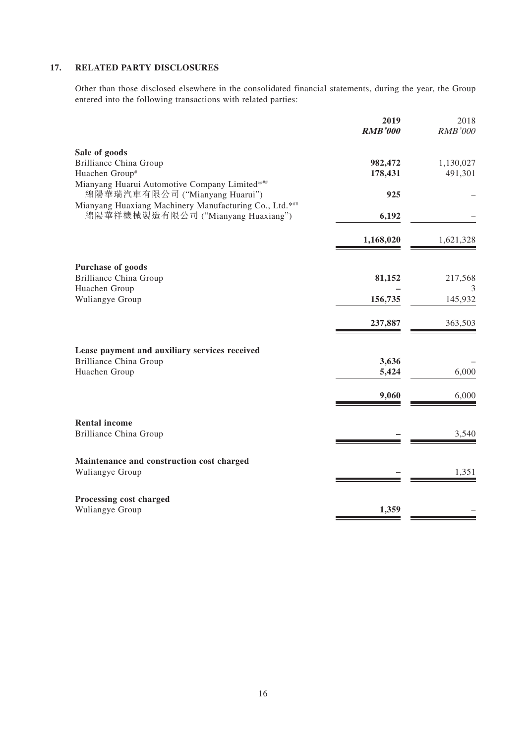### **17. RELATED PARTY DISCLOSURES**

Other than those disclosed elsewhere in the consolidated financial statements, during the year, the Group entered into the following transactions with related parties:

|                                                                                              | 2019<br><b>RMB'000</b> | 2018<br><b>RMB'000</b> |
|----------------------------------------------------------------------------------------------|------------------------|------------------------|
| Sale of goods                                                                                |                        |                        |
| <b>Brilliance China Group</b>                                                                | 982,472                | 1,130,027              |
| Huachen Group#                                                                               | 178,431                | 491,301                |
| Mianyang Huarui Automotive Company Limited*##                                                |                        |                        |
| 綿陽華瑞汽車有限公司 ("Mianyang Huarui")                                                               | 925                    |                        |
| Mianyang Huaxiang Machinery Manufacturing Co., Ltd.***<br>綿陽華祥機械製造有限公司 ("Mianyang Huaxiang") | 6,192                  |                        |
|                                                                                              |                        |                        |
|                                                                                              | 1,168,020              | 1,621,328              |
| <b>Purchase of goods</b>                                                                     |                        |                        |
| <b>Brilliance China Group</b>                                                                | 81,152                 | 217,568                |
| Huachen Group                                                                                |                        | 3                      |
| Wuliangye Group                                                                              | 156,735                | 145,932                |
|                                                                                              | 237,887                | 363,503                |
| Lease payment and auxiliary services received                                                |                        |                        |
| <b>Brilliance China Group</b>                                                                | 3,636                  |                        |
| Huachen Group                                                                                | 5,424                  | 6,000                  |
|                                                                                              |                        | 6,000                  |
|                                                                                              | 9,060                  |                        |
| <b>Rental income</b>                                                                         |                        |                        |
| <b>Brilliance China Group</b>                                                                |                        | 3,540                  |
| Maintenance and construction cost charged                                                    |                        |                        |
| Wuliangye Group                                                                              |                        | 1,351                  |
| Processing cost charged                                                                      |                        |                        |
| Wuliangye Group                                                                              | 1,359                  |                        |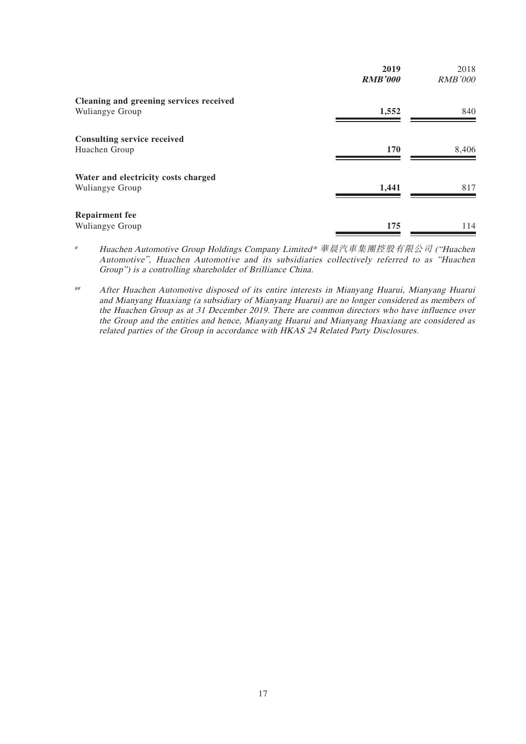|                                         | 2019<br><b>RMB'000</b> | 2018<br><b>RMB'000</b> |
|-----------------------------------------|------------------------|------------------------|
| Cleaning and greening services received |                        |                        |
| Wuliangye Group                         | 1,552                  | 840                    |
| <b>Consulting service received</b>      |                        |                        |
| Huachen Group                           | 170                    | 8,406                  |
| Water and electricity costs charged     |                        |                        |
| Wuliangye Group                         | 1,441                  | 817                    |
| <b>Repairment fee</b>                   |                        |                        |
| Wuliangye Group                         | 175                    | 114                    |

- # Huachen Automotive Group Holdings Company Limited\* 華晨汽車集團控股有限公司 ("Huachen Automotive", Huachen Automotive and its subsidiaries collectively referred to as "Huachen Group") is a controlling shareholder of Brilliance China.
- ## After Huachen Automotive disposed of its entire interests in Mianyang Huarui, Mianyang Huarui and Mianyang Huaxiang (a subsidiary of Mianyang Huarui) are no longer considered as members of the Huachen Group as at 31 December 2019. There are common directors who have influence over the Group and the entities and hence, Mianyang Huarui and Mianyang Huaxiang are considered as related parties of the Group in accordance with HKAS 24 Related Party Disclosures.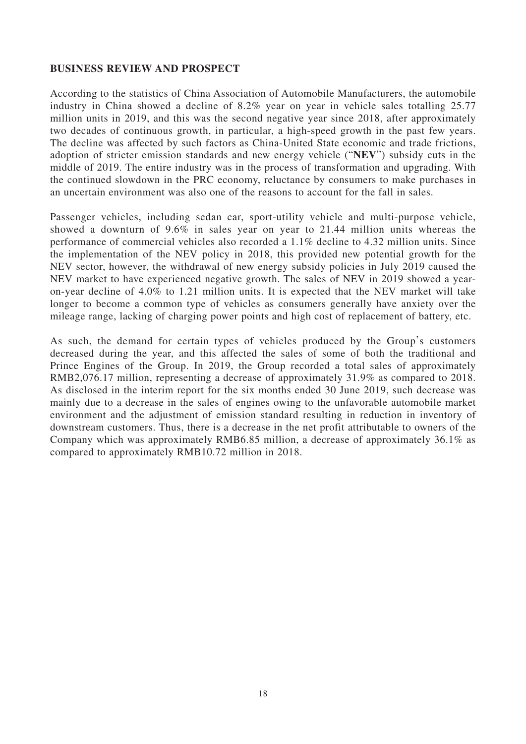### **BUSINESS REVIEW AND PROSPECT**

According to the statistics of China Association of Automobile Manufacturers, the automobile industry in China showed a decline of 8.2% year on year in vehicle sales totalling 25.77 million units in 2019, and this was the second negative year since 2018, after approximately two decades of continuous growth, in particular, a high-speed growth in the past few years. The decline was affected by such factors as China-United State economic and trade frictions, adoption of stricter emission standards and new energy vehicle ("**NEV**") subsidy cuts in the middle of 2019. The entire industry was in the process of transformation and upgrading. With the continued slowdown in the PRC economy, reluctance by consumers to make purchases in an uncertain environment was also one of the reasons to account for the fall in sales.

Passenger vehicles, including sedan car, sport-utility vehicle and multi-purpose vehicle, showed a downturn of 9.6% in sales year on year to 21.44 million units whereas the performance of commercial vehicles also recorded a 1.1% decline to 4.32 million units. Since the implementation of the NEV policy in 2018, this provided new potential growth for the NEV sector, however, the withdrawal of new energy subsidy policies in July 2019 caused the NEV market to have experienced negative growth. The sales of NEV in 2019 showed a yearon-year decline of 4.0% to 1.21 million units. It is expected that the NEV market will take longer to become a common type of vehicles as consumers generally have anxiety over the mileage range, lacking of charging power points and high cost of replacement of battery, etc.

As such, the demand for certain types of vehicles produced by the Group's customers decreased during the year, and this affected the sales of some of both the traditional and Prince Engines of the Group. In 2019, the Group recorded a total sales of approximately RMB2,076.17 million, representing a decrease of approximately 31.9% as compared to 2018. As disclosed in the interim report for the six months ended 30 June 2019, such decrease was mainly due to a decrease in the sales of engines owing to the unfavorable automobile market environment and the adjustment of emission standard resulting in reduction in inventory of downstream customers. Thus, there is a decrease in the net profit attributable to owners of the Company which was approximately RMB6.85 million, a decrease of approximately 36.1% as compared to approximately RMB10.72 million in 2018.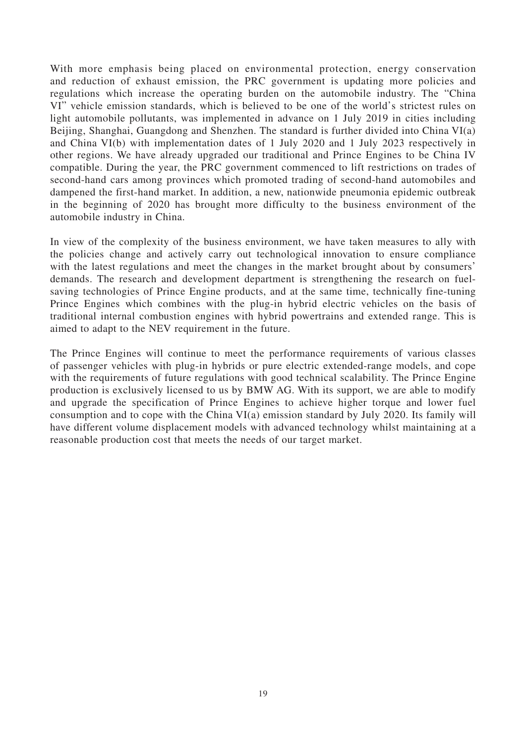With more emphasis being placed on environmental protection, energy conservation and reduction of exhaust emission, the PRC government is updating more policies and regulations which increase the operating burden on the automobile industry. The "China VI" vehicle emission standards, which is believed to be one of the world's strictest rules on light automobile pollutants, was implemented in advance on 1 July 2019 in cities including Beijing, Shanghai, Guangdong and Shenzhen. The standard is further divided into China VI(a) and China VI(b) with implementation dates of 1 July 2020 and 1 July 2023 respectively in other regions. We have already upgraded our traditional and Prince Engines to be China IV compatible. During the year, the PRC government commenced to lift restrictions on trades of second-hand cars among provinces which promoted trading of second-hand automobiles and dampened the first-hand market. In addition, a new, nationwide pneumonia epidemic outbreak in the beginning of 2020 has brought more difficulty to the business environment of the automobile industry in China.

In view of the complexity of the business environment, we have taken measures to ally with the policies change and actively carry out technological innovation to ensure compliance with the latest regulations and meet the changes in the market brought about by consumers' demands. The research and development department is strengthening the research on fuelsaving technologies of Prince Engine products, and at the same time, technically fine-tuning Prince Engines which combines with the plug-in hybrid electric vehicles on the basis of traditional internal combustion engines with hybrid powertrains and extended range. This is aimed to adapt to the NEV requirement in the future.

The Prince Engines will continue to meet the performance requirements of various classes of passenger vehicles with plug-in hybrids or pure electric extended-range models, and cope with the requirements of future regulations with good technical scalability. The Prince Engine production is exclusively licensed to us by BMW AG. With its support, we are able to modify and upgrade the specification of Prince Engines to achieve higher torque and lower fuel consumption and to cope with the China VI(a) emission standard by July 2020. Its family will have different volume displacement models with advanced technology whilst maintaining at a reasonable production cost that meets the needs of our target market.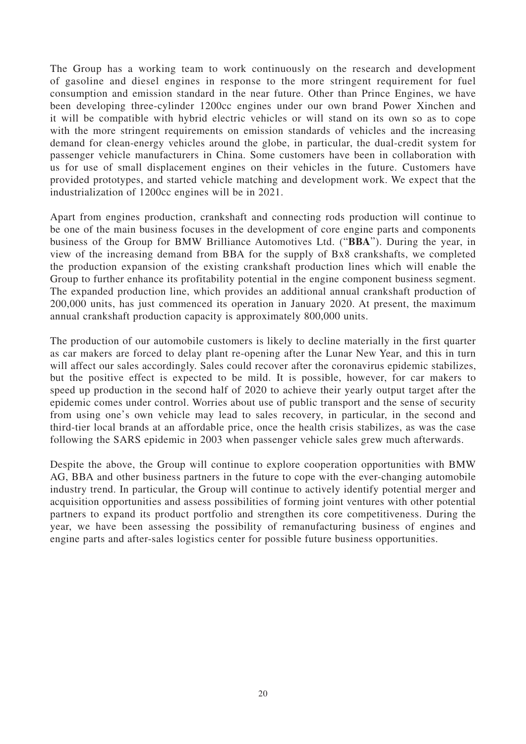The Group has a working team to work continuously on the research and development of gasoline and diesel engines in response to the more stringent requirement for fuel consumption and emission standard in the near future. Other than Prince Engines, we have been developing three-cylinder 1200cc engines under our own brand Power Xinchen and it will be compatible with hybrid electric vehicles or will stand on its own so as to cope with the more stringent requirements on emission standards of vehicles and the increasing demand for clean-energy vehicles around the globe, in particular, the dual-credit system for passenger vehicle manufacturers in China. Some customers have been in collaboration with us for use of small displacement engines on their vehicles in the future. Customers have provided prototypes, and started vehicle matching and development work. We expect that the industrialization of 1200cc engines will be in 2021.

Apart from engines production, crankshaft and connecting rods production will continue to be one of the main business focuses in the development of core engine parts and components business of the Group for BMW Brilliance Automotives Ltd. ("**BBA**"). During the year, in view of the increasing demand from BBA for the supply of Bx8 crankshafts, we completed the production expansion of the existing crankshaft production lines which will enable the Group to further enhance its profitability potential in the engine component business segment. The expanded production line, which provides an additional annual crankshaft production of 200,000 units, has just commenced its operation in January 2020. At present, the maximum annual crankshaft production capacity is approximately 800,000 units.

The production of our automobile customers is likely to decline materially in the first quarter as car makers are forced to delay plant re-opening after the Lunar New Year, and this in turn will affect our sales accordingly. Sales could recover after the coronavirus epidemic stabilizes, but the positive effect is expected to be mild. It is possible, however, for car makers to speed up production in the second half of 2020 to achieve their yearly output target after the epidemic comes under control. Worries about use of public transport and the sense of security from using one's own vehicle may lead to sales recovery, in particular, in the second and third-tier local brands at an affordable price, once the health crisis stabilizes, as was the case following the SARS epidemic in 2003 when passenger vehicle sales grew much afterwards.

Despite the above, the Group will continue to explore cooperation opportunities with BMW AG, BBA and other business partners in the future to cope with the ever-changing automobile industry trend. In particular, the Group will continue to actively identify potential merger and acquisition opportunities and assess possibilities of forming joint ventures with other potential partners to expand its product portfolio and strengthen its core competitiveness. During the year, we have been assessing the possibility of remanufacturing business of engines and engine parts and after-sales logistics center for possible future business opportunities.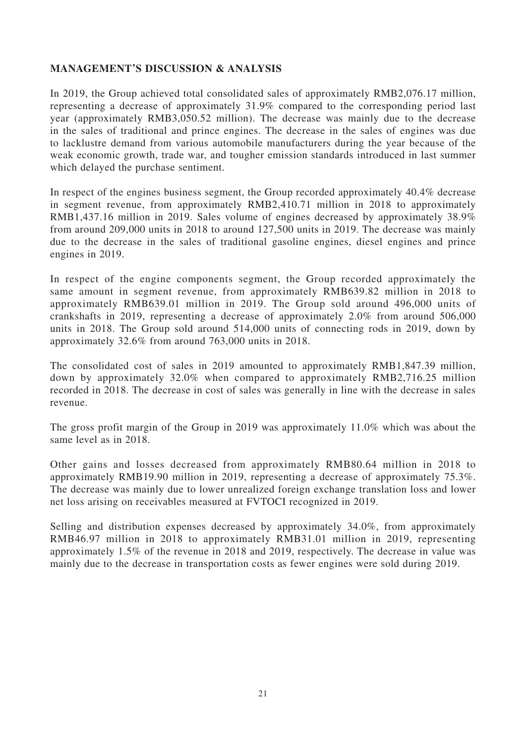# **MANAGEMENT'S DISCUSSION & ANALYSIS**

In 2019, the Group achieved total consolidated sales of approximately RMB2,076.17 million, representing a decrease of approximately 31.9% compared to the corresponding period last year (approximately RMB3,050.52 million). The decrease was mainly due to the decrease in the sales of traditional and prince engines. The decrease in the sales of engines was due to lacklustre demand from various automobile manufacturers during the year because of the weak economic growth, trade war, and tougher emission standards introduced in last summer which delayed the purchase sentiment.

In respect of the engines business segment, the Group recorded approximately 40.4% decrease in segment revenue, from approximately RMB2,410.71 million in 2018 to approximately RMB1,437.16 million in 2019. Sales volume of engines decreased by approximately 38.9% from around 209,000 units in 2018 to around 127,500 units in 2019. The decrease was mainly due to the decrease in the sales of traditional gasoline engines, diesel engines and prince engines in 2019.

In respect of the engine components segment, the Group recorded approximately the same amount in segment revenue, from approximately RMB639.82 million in 2018 to approximately RMB639.01 million in 2019. The Group sold around 496,000 units of crankshafts in 2019, representing a decrease of approximately 2.0% from around 506,000 units in 2018. The Group sold around 514,000 units of connecting rods in 2019, down by approximately 32.6% from around 763,000 units in 2018.

The consolidated cost of sales in 2019 amounted to approximately RMB1,847.39 million, down by approximately 32.0% when compared to approximately RMB2,716.25 million recorded in 2018. The decrease in cost of sales was generally in line with the decrease in sales revenue.

The gross profit margin of the Group in 2019 was approximately 11.0% which was about the same level as in 2018.

Other gains and losses decreased from approximately RMB80.64 million in 2018 to approximately RMB19.90 million in 2019, representing a decrease of approximately 75.3%. The decrease was mainly due to lower unrealized foreign exchange translation loss and lower net loss arising on receivables measured at FVTOCI recognized in 2019.

Selling and distribution expenses decreased by approximately 34.0%, from approximately RMB46.97 million in 2018 to approximately RMB31.01 million in 2019, representing approximately 1.5% of the revenue in 2018 and 2019, respectively. The decrease in value was mainly due to the decrease in transportation costs as fewer engines were sold during 2019.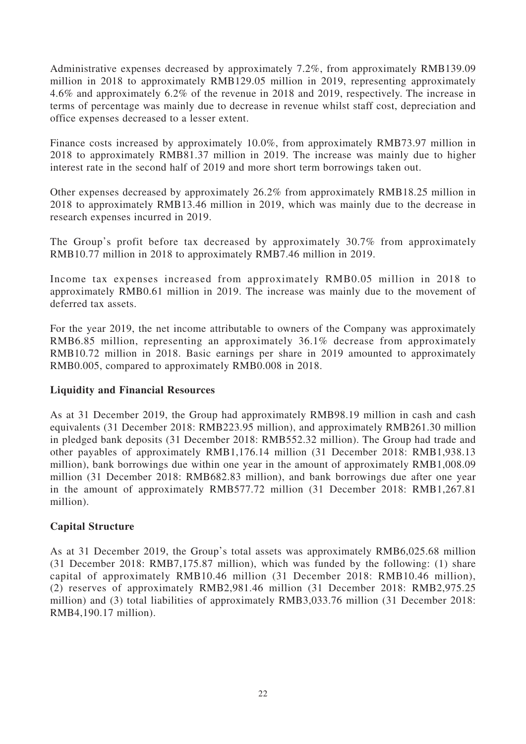Administrative expenses decreased by approximately 7.2%, from approximately RMB139.09 million in 2018 to approximately RMB129.05 million in 2019, representing approximately 4.6% and approximately 6.2% of the revenue in 2018 and 2019, respectively. The increase in terms of percentage was mainly due to decrease in revenue whilst staff cost, depreciation and office expenses decreased to a lesser extent.

Finance costs increased by approximately 10.0%, from approximately RMB73.97 million in 2018 to approximately RMB81.37 million in 2019. The increase was mainly due to higher interest rate in the second half of 2019 and more short term borrowings taken out.

Other expenses decreased by approximately 26.2% from approximately RMB18.25 million in 2018 to approximately RMB13.46 million in 2019, which was mainly due to the decrease in research expenses incurred in 2019.

The Group's profit before tax decreased by approximately 30.7% from approximately RMB10.77 million in 2018 to approximately RMB7.46 million in 2019.

Income tax expenses increased from approximately RMB0.05 million in 2018 to approximately RMB0.61 million in 2019. The increase was mainly due to the movement of deferred tax assets.

For the year 2019, the net income attributable to owners of the Company was approximately RMB6.85 million, representing an approximately 36.1% decrease from approximately RMB10.72 million in 2018. Basic earnings per share in 2019 amounted to approximately RMB0.005, compared to approximately RMB0.008 in 2018.

# **Liquidity and Financial Resources**

As at 31 December 2019, the Group had approximately RMB98.19 million in cash and cash equivalents (31 December 2018: RMB223.95 million), and approximately RMB261.30 million in pledged bank deposits (31 December 2018: RMB552.32 million). The Group had trade and other payables of approximately RMB1,176.14 million (31 December 2018: RMB1,938.13 million), bank borrowings due within one year in the amount of approximately RMB1,008.09 million (31 December 2018: RMB682.83 million), and bank borrowings due after one year in the amount of approximately RMB577.72 million (31 December 2018: RMB1,267.81 million).

# **Capital Structure**

As at 31 December 2019, the Group's total assets was approximately RMB6,025.68 million (31 December 2018: RMB7,175.87 million), which was funded by the following: (1) share capital of approximately RMB10.46 million (31 December 2018: RMB10.46 million), (2) reserves of approximately RMB2,981.46 million (31 December 2018: RMB2,975.25 million) and (3) total liabilities of approximately RMB3,033.76 million (31 December 2018: RMB4,190.17 million).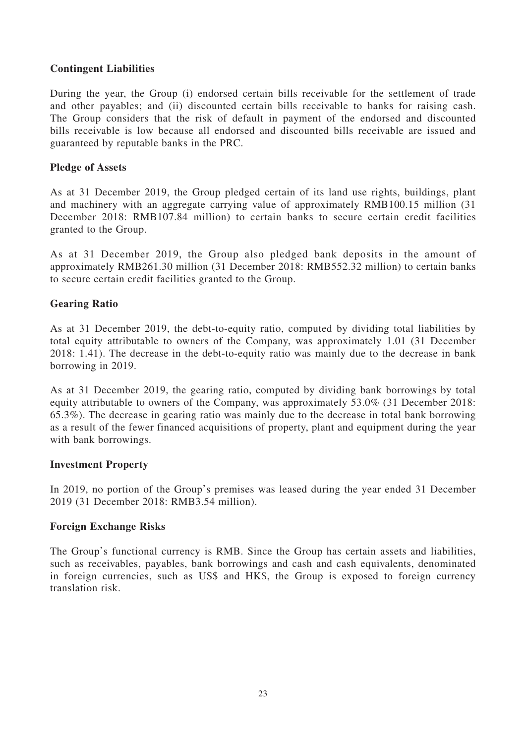# **Contingent Liabilities**

During the year, the Group (i) endorsed certain bills receivable for the settlement of trade and other payables; and (ii) discounted certain bills receivable to banks for raising cash. The Group considers that the risk of default in payment of the endorsed and discounted bills receivable is low because all endorsed and discounted bills receivable are issued and guaranteed by reputable banks in the PRC.

## **Pledge of Assets**

As at 31 December 2019, the Group pledged certain of its land use rights, buildings, plant and machinery with an aggregate carrying value of approximately RMB100.15 million (31 December 2018: RMB107.84 million) to certain banks to secure certain credit facilities granted to the Group.

As at 31 December 2019, the Group also pledged bank deposits in the amount of approximately RMB261.30 million (31 December 2018: RMB552.32 million) to certain banks to secure certain credit facilities granted to the Group.

## **Gearing Ratio**

As at 31 December 2019, the debt-to-equity ratio, computed by dividing total liabilities by total equity attributable to owners of the Company, was approximately 1.01 (31 December 2018: 1.41). The decrease in the debt-to-equity ratio was mainly due to the decrease in bank borrowing in 2019.

As at 31 December 2019, the gearing ratio, computed by dividing bank borrowings by total equity attributable to owners of the Company, was approximately 53.0% (31 December 2018: 65.3%). The decrease in gearing ratio was mainly due to the decrease in total bank borrowing as a result of the fewer financed acquisitions of property, plant and equipment during the year with bank borrowings.

### **Investment Property**

In 2019, no portion of the Group's premises was leased during the year ended 31 December 2019 (31 December 2018: RMB3.54 million).

### **Foreign Exchange Risks**

The Group's functional currency is RMB. Since the Group has certain assets and liabilities, such as receivables, payables, bank borrowings and cash and cash equivalents, denominated in foreign currencies, such as US\$ and HK\$, the Group is exposed to foreign currency translation risk.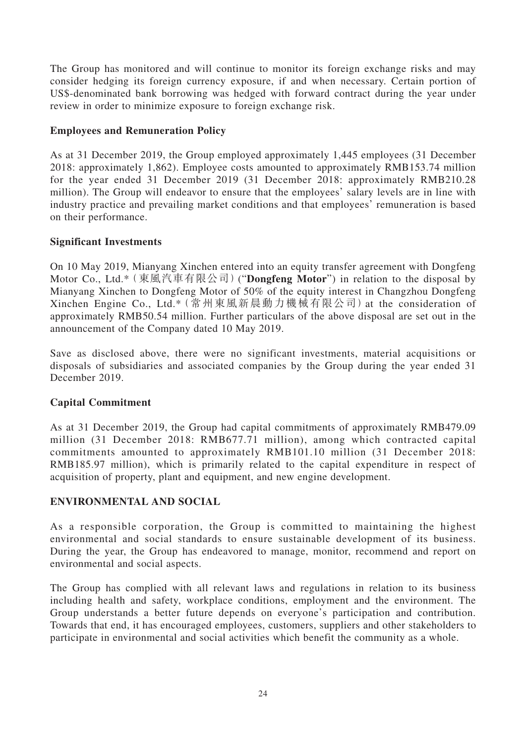The Group has monitored and will continue to monitor its foreign exchange risks and may consider hedging its foreign currency exposure, if and when necessary. Certain portion of US\$-denominated bank borrowing was hedged with forward contract during the year under review in order to minimize exposure to foreign exchange risk.

# **Employees and Remuneration Policy**

As at 31 December 2019, the Group employed approximately 1,445 employees (31 December 2018: approximately 1,862). Employee costs amounted to approximately RMB153.74 million for the year ended 31 December 2019 (31 December 2018: approximately RMB210.28 million). The Group will endeavor to ensure that the employees' salary levels are in line with industry practice and prevailing market conditions and that employees' remuneration is based on their performance.

## **Significant Investments**

On 10 May 2019, Mianyang Xinchen entered into an equity transfer agreement with Dongfeng Motor Co., Ltd.\*(東風汽車有限公司)("**Dongfeng Motor**") in relation to the disposal by Mianyang Xinchen to Dongfeng Motor of 50% of the equity interest in Changzhou Dongfeng Xinchen Engine Co., Ltd.\*(常州東風新晨動力機械有限公司)at the consideration of approximately RMB50.54 million. Further particulars of the above disposal are set out in the announcement of the Company dated 10 May 2019.

Save as disclosed above, there were no significant investments, material acquisitions or disposals of subsidiaries and associated companies by the Group during the year ended 31 December 2019.

# **Capital Commitment**

As at 31 December 2019, the Group had capital commitments of approximately RMB479.09 million (31 December 2018: RMB677.71 million), among which contracted capital commitments amounted to approximately RMB101.10 million (31 December 2018: RMB185.97 million), which is primarily related to the capital expenditure in respect of acquisition of property, plant and equipment, and new engine development.

### **ENVIRONMENTAL AND SOCIAL**

As a responsible corporation, the Group is committed to maintaining the highest environmental and social standards to ensure sustainable development of its business. During the year, the Group has endeavored to manage, monitor, recommend and report on environmental and social aspects.

The Group has complied with all relevant laws and regulations in relation to its business including health and safety, workplace conditions, employment and the environment. The Group understands a better future depends on everyone's participation and contribution. Towards that end, it has encouraged employees, customers, suppliers and other stakeholders to participate in environmental and social activities which benefit the community as a whole.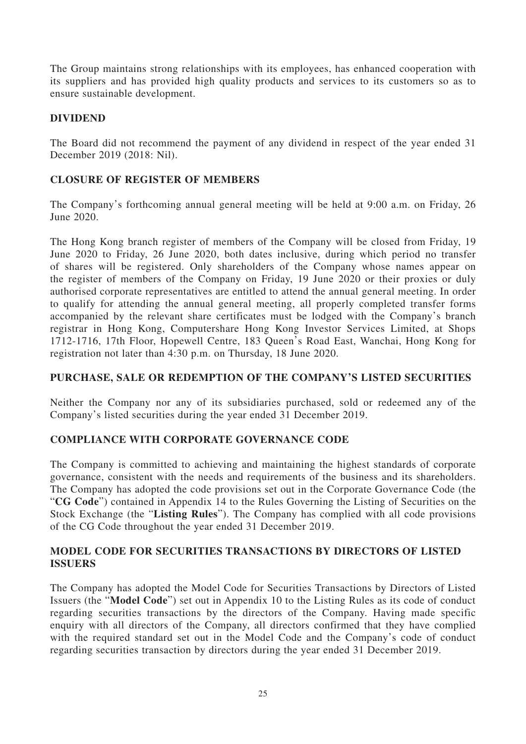The Group maintains strong relationships with its employees, has enhanced cooperation with its suppliers and has provided high quality products and services to its customers so as to ensure sustainable development.

# **DIVIDEND**

The Board did not recommend the payment of any dividend in respect of the year ended 31 December 2019 (2018: Nil).

# **CLOSURE OF REGISTER OF MEMBERS**

The Company's forthcoming annual general meeting will be held at 9:00 a.m. on Friday, 26 June 2020.

The Hong Kong branch register of members of the Company will be closed from Friday, 19 June 2020 to Friday, 26 June 2020, both dates inclusive, during which period no transfer of shares will be registered. Only shareholders of the Company whose names appear on the register of members of the Company on Friday, 19 June 2020 or their proxies or duly authorised corporate representatives are entitled to attend the annual general meeting. In order to qualify for attending the annual general meeting, all properly completed transfer forms accompanied by the relevant share certificates must be lodged with the Company's branch registrar in Hong Kong, Computershare Hong Kong Investor Services Limited, at Shops 1712-1716, 17th Floor, Hopewell Centre, 183 Queen's Road East, Wanchai, Hong Kong for registration not later than 4:30 p.m. on Thursday, 18 June 2020.

# **PURCHASE, SALE OR REDEMPTION OF THE COMPANY'S LISTED SECURITIES**

Neither the Company nor any of its subsidiaries purchased, sold or redeemed any of the Company's listed securities during the year ended 31 December 2019.

# **COMPLIANCE WITH CORPORATE GOVERNANCE CODE**

The Company is committed to achieving and maintaining the highest standards of corporate governance, consistent with the needs and requirements of the business and its shareholders. The Company has adopted the code provisions set out in the Corporate Governance Code (the "**CG Code**") contained in Appendix 14 to the Rules Governing the Listing of Securities on the Stock Exchange (the "**Listing Rules**"). The Company has complied with all code provisions of the CG Code throughout the year ended 31 December 2019.

# **MODEL CODE FOR SECURITIES TRANSACTIONS BY DIRECTORS OF LISTED ISSUERS**

The Company has adopted the Model Code for Securities Transactions by Directors of Listed Issuers (the "**Model Code**") set out in Appendix 10 to the Listing Rules as its code of conduct regarding securities transactions by the directors of the Company. Having made specific enquiry with all directors of the Company, all directors confirmed that they have complied with the required standard set out in the Model Code and the Company's code of conduct regarding securities transaction by directors during the year ended 31 December 2019.